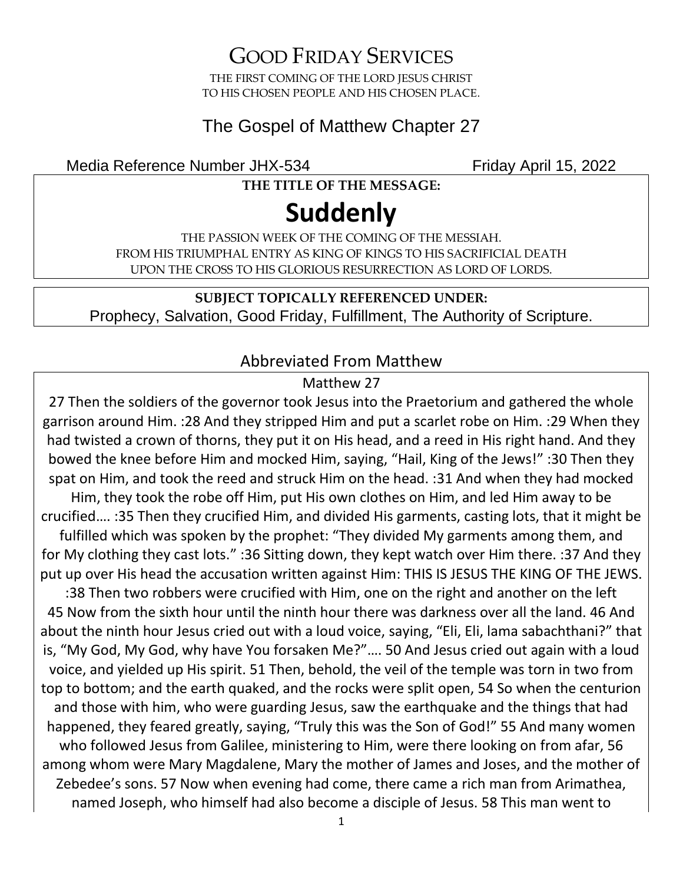GOOD FRIDAY SERVICES

THE FIRST COMING OF THE LORD JESUS CHRIST TO HIS CHOSEN PEOPLE AND HIS CHOSEN PLACE.

#### The Gospel of Matthew Chapter 27

Media Reference Number JHX-534 Friday April 15, 2022

**THE TITLE OF THE MESSAGE:**

# **Suddenly**

THE PASSION WEEK OF THE COMING OF THE MESSIAH. FROM HIS TRIUMPHAL ENTRY AS KING OF KINGS TO HIS SACRIFICIAL DEATH UPON THE CROSS TO HIS GLORIOUS RESURRECTION AS LORD OF LORDS.

**SUBJECT TOPICALLY REFERENCED UNDER:** Prophecy, Salvation, Good Friday, Fulfillment, The Authority of Scripture.

#### Abbreviated From Matthew

#### Matthew 27

27 Then the soldiers of the governor took Jesus into the Praetorium and gathered the whole garrison around Him. :28 And they stripped Him and put a scarlet robe on Him. :29 When they had twisted a crown of thorns, they put it on His head, and a reed in His right hand. And they bowed the knee before Him and mocked Him, saying, "Hail, King of the Jews!" :30 Then they spat on Him, and took the reed and struck Him on the head. :31 And when they had mocked Him, they took the robe off Him, put His own clothes on Him, and led Him away to be crucified…. :35 Then they crucified Him, and divided His garments, casting lots, that it might be fulfilled which was spoken by the prophet: "They divided My garments among them, and for My clothing they cast lots." :36 Sitting down, they kept watch over Him there. :37 And they put up over His head the accusation written against Him: THIS IS JESUS THE KING OF THE JEWS. :38 Then two robbers were crucified with Him, one on the right and another on the left 45 Now from the sixth hour until the ninth hour there was darkness over all the land. 46 And about the ninth hour Jesus cried out with a loud voice, saying, "Eli, Eli, lama sabachthani?" that is, "My God, My God, why have You forsaken Me?"…. 50 And Jesus cried out again with a loud voice, and yielded up His spirit. 51 Then, behold, the veil of the temple was torn in two from top to bottom; and the earth quaked, and the rocks were split open, 54 So when the centurion and those with him, who were guarding Jesus, saw the earthquake and the things that had happened, they feared greatly, saying, "Truly this was the Son of God!" 55 And many women who followed Jesus from Galilee, ministering to Him, were there looking on from afar, 56 among whom were Mary Magdalene, Mary the mother of James and Joses, and the mother of Zebedee's sons. 57 Now when evening had come, there came a rich man from Arimathea, named Joseph, who himself had also become a disciple of Jesus. 58 This man went to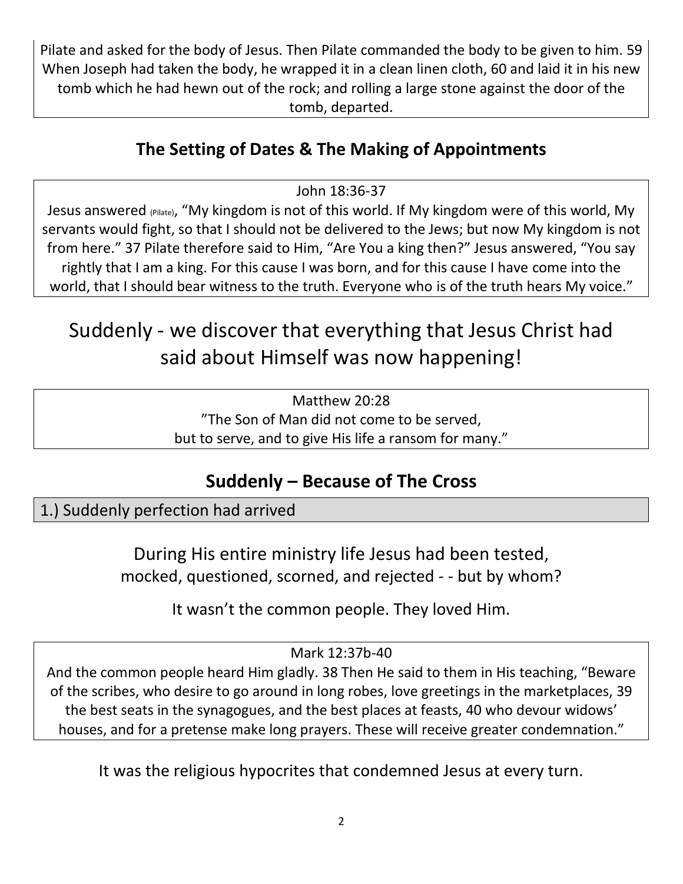Pilate and asked for the body of Jesus. Then Pilate commanded the body to be given to him. 59 When Joseph had taken the body, he wrapped it in a clean linen cloth, 60 and laid it in his new tomb which he had hewn out of the rock; and rolling a large stone against the door of the tomb, departed.

### **The Setting of Dates & The Making of Appointments**

John 18:36-37

Jesus answered (Pilate), "My kingdom is not of this world. If My kingdom were of this world, My servants would fight, so that I should not be delivered to the Jews; but now My kingdom is not from here." 37 Pilate therefore said to Him, "Are You a king then?" Jesus answered, "You say rightly that I am a king. For this cause I was born, and for this cause I have come into the world, that I should bear witness to the truth. Everyone who is of the truth hears My voice."

# Suddenly - we discover that everything that Jesus Christ had said about Himself was now happening!

Matthew 20:28 "The Son of Man did not come to be served, but to serve, and to give His life a ransom for many."

### **Suddenly – Because of The Cross**

1.) Suddenly perfection had arrived

During His entire ministry life Jesus had been tested, mocked, questioned, scorned, and rejected - - but by whom?

It wasn't the common people. They loved Him.

Mark 12:37b-40

And the common people heard Him gladly. 38 Then He said to them in His teaching, "Beware of the scribes, who desire to go around in long robes, love greetings in the marketplaces, 39 the best seats in the synagogues, and the best places at feasts, 40 who devour widows' houses, and for a pretense make long prayers. These will receive greater condemnation."

It was the religious hypocrites that condemned Jesus at every turn.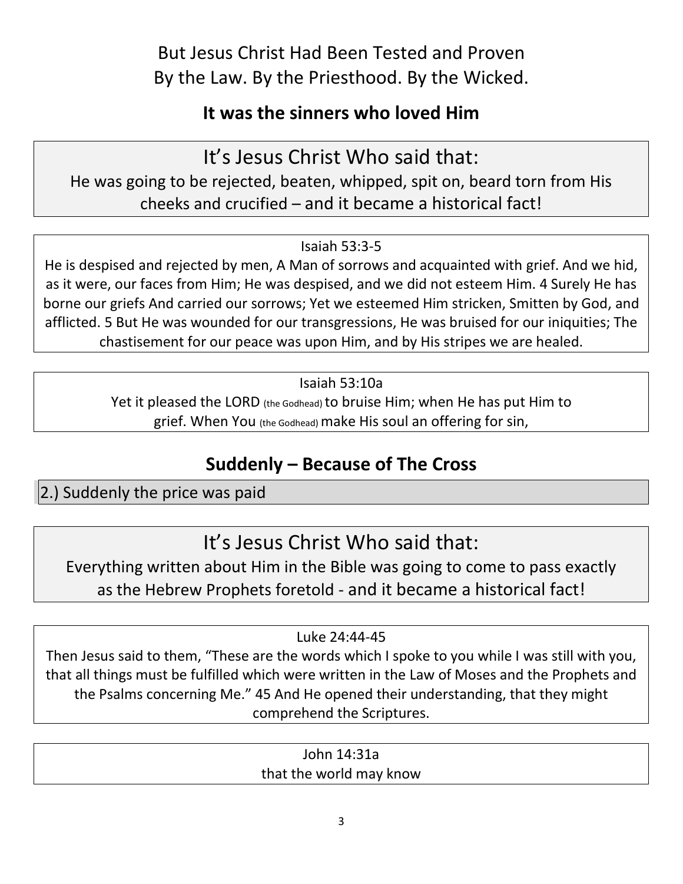But Jesus Christ Had Been Tested and Proven By the Law. By the Priesthood. By the Wicked.

### **It was the sinners who loved Him**

It's Jesus Christ Who said that:

He was going to be rejected, beaten, whipped, spit on, beard torn from His cheeks and crucified – and it became a historical fact!

#### Isaiah 53:3-5

He is despised and rejected by men, A Man of sorrows and acquainted with grief. And we hid, as it were, our faces from Him; He was despised, and we did not esteem Him. 4 Surely He has borne our griefs And carried our sorrows; Yet we esteemed Him stricken, Smitten by God, and afflicted. 5 But He was wounded for our transgressions, He was bruised for our iniquities; The chastisement for our peace was upon Him, and by His stripes we are healed.

Isaiah 53:10a

Yet it pleased the LORD (the Godhead) to bruise Him; when He has put Him to grief. When You (the Godhead) make His soul an offering for sin,

### **Suddenly – Because of The Cross**

2.) Suddenly the price was paid

It's Jesus Christ Who said that:

Everything written about Him in the Bible was going to come to pass exactly as the Hebrew Prophets foretold - and it became a historical fact!

Luke 24:44-45

Then Jesus said to them, "These are the words which I spoke to you while I was still with you, that all things must be fulfilled which were written in the Law of Moses and the Prophets and the Psalms concerning Me." 45 And He opened their understanding, that they might comprehend the Scriptures.

John 14:31a that the world may know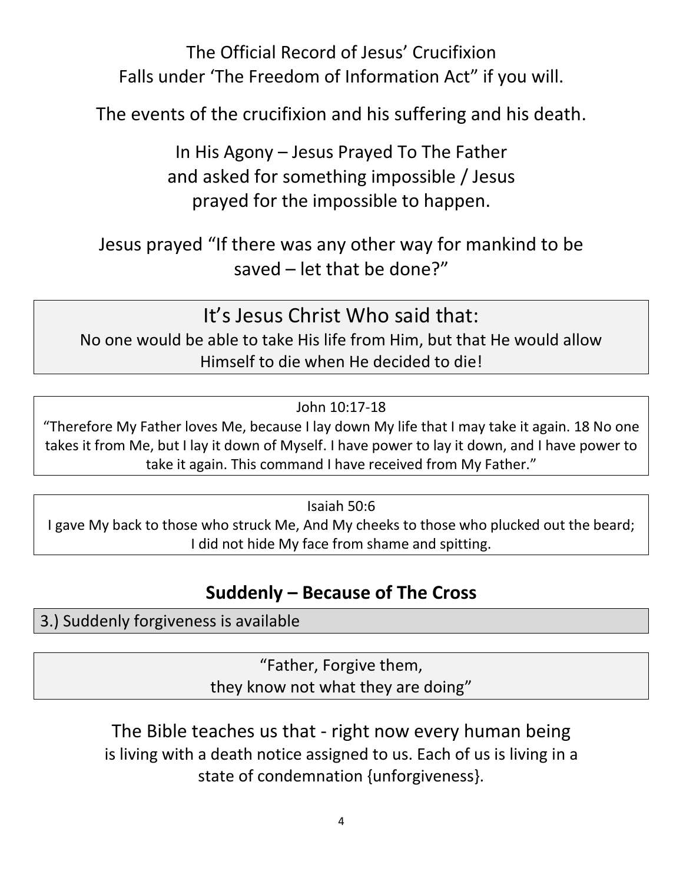The Official Record of Jesus' Crucifixion Falls under 'The Freedom of Information Act" if you will.

The events of the crucifixion and his suffering and his death.

In His Agony – Jesus Prayed To The Father and asked for something impossible / Jesus prayed for the impossible to happen.

### Jesus prayed "If there was any other way for mankind to be saved – let that be done?"

It's Jesus Christ Who said that: No one would be able to take His life from Him, but that He would allow Himself to die when He decided to die!

John 10:17-18

"Therefore My Father loves Me, because I lay down My life that I may take it again. 18 No one takes it from Me, but I lay it down of Myself. I have power to lay it down, and I have power to take it again. This command I have received from My Father."

Isaiah 50:6

I gave My back to those who struck Me, And My cheeks to those who plucked out the beard; I did not hide My face from shame and spitting.

### **Suddenly – Because of The Cross**

3.) Suddenly forgiveness is available

"Father, Forgive them, they know not what they are doing"

### The Bible teaches us that - right now every human being is living with a death notice assigned to us. Each of us is living in a state of condemnation {unforgiveness}.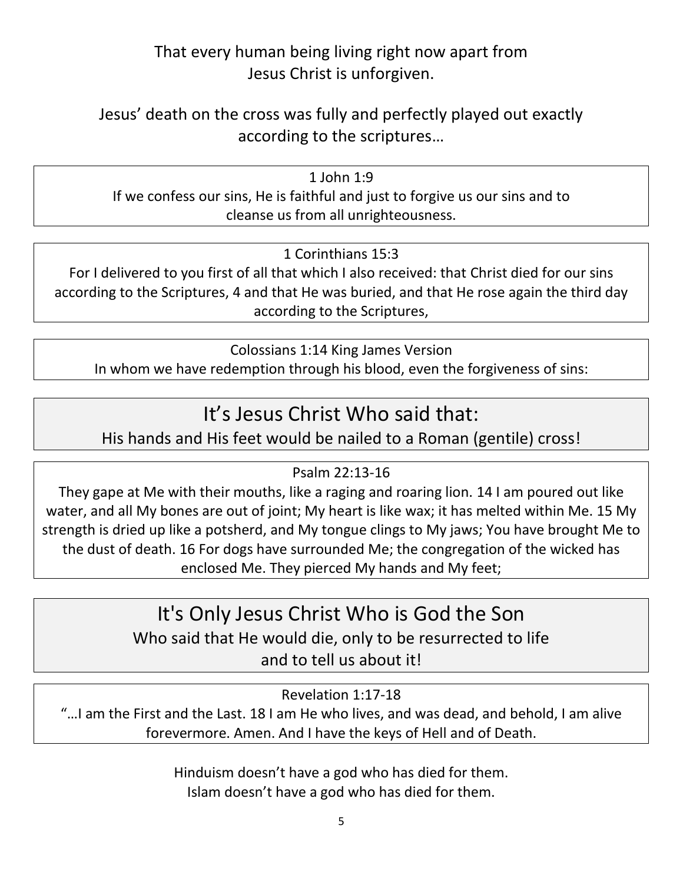#### That every human being living right now apart from Jesus Christ is unforgiven.

Jesus' death on the cross was fully and perfectly played out exactly according to the scriptures…

1 John 1:9 If we confess our sins, He is faithful and just to forgive us our sins and to cleanse us from all unrighteousness.

1 Corinthians 15:3

For I delivered to you first of all that which I also received: that Christ died for our sins according to the Scriptures, 4 and that He was buried, and that He rose again the third day according to the Scriptures,

Colossians 1:14 King James Version In whom we have redemption through his blood, even the forgiveness of sins:

### It's Jesus Christ Who said that:

His hands and His feet would be nailed to a Roman (gentile) cross!

Psalm 22:13-16

They gape at Me with their mouths, like a raging and roaring lion. 14 I am poured out like water, and all My bones are out of joint; My heart is like wax; it has melted within Me. 15 My strength is dried up like a potsherd, and My tongue clings to My jaws; You have brought Me to the dust of death. 16 For dogs have surrounded Me; the congregation of the wicked has enclosed Me. They pierced My hands and My feet;

## It's Only Jesus Christ Who is God the Son

Who said that He would die, only to be resurrected to life

and to tell us about it!

Revelation 1:17-18

"…I am the First and the Last. 18 I am He who lives, and was dead, and behold, I am alive forevermore. Amen. And I have the keys of Hell and of Death.

> Hinduism doesn't have a god who has died for them. Islam doesn't have a god who has died for them.